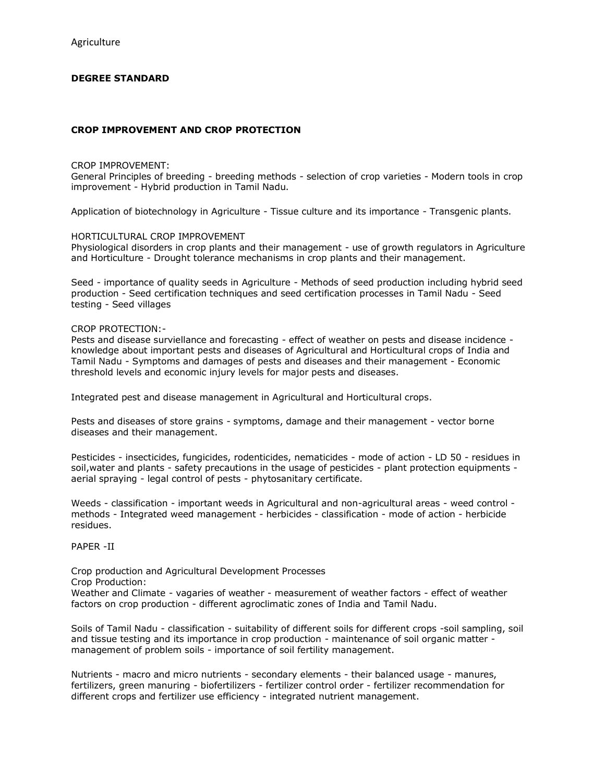# **DEGREE STANDARD**

## **CROP IMPROVEMENT AND CROP PROTECTION**

### CROP IMPROVEMENT:

General Principles of breeding - breeding methods - selection of crop varieties - Modern tools in crop improvement - Hybrid production in Tamil Nadu.

Application of biotechnology in Agriculture - Tissue culture and its importance - Transgenic plants.

#### HORTICULTURAL CROP IMPROVEMENT

Physiological disorders in crop plants and their management - use of growth regulators in Agriculture and Horticulture - Drought tolerance mechanisms in crop plants and their management.

Seed - importance of quality seeds in Agriculture - Methods of seed production including hybrid seed production - Seed certification techniques and seed certification processes in Tamil Nadu - Seed testing - Seed villages

#### CROP PROTECTION:-

Pests and disease surviellance and forecasting - effect of weather on pests and disease incidence knowledge about important pests and diseases of Agricultural and Horticultural crops of India and Tamil Nadu - Symptoms and damages of pests and diseases and their management - Economic threshold levels and economic injury levels for major pests and diseases.

Integrated pest and disease management in Agricultural and Horticultural crops.

Pests and diseases of store grains - symptoms, damage and their management - vector borne diseases and their management.

Pesticides - insecticides, fungicides, rodenticides, nematicides - mode of action - LD 50 - residues in soil,water and plants - safety precautions in the usage of pesticides - plant protection equipments aerial spraying - legal control of pests - phytosanitary certificate.

Weeds - classification - important weeds in Agricultural and non-agricultural areas - weed control methods - Integrated weed management - herbicides - classification - mode of action - herbicide residues.

## PAPER -II

Crop production and Agricultural Development Processes Crop Production: Weather and Climate - vagaries of weather - measurement of weather factors - effect of weather factors on crop production - different agroclimatic zones of India and Tamil Nadu.

Soils of Tamil Nadu - classification - suitability of different soils for different crops -soil sampling, soil and tissue testing and its importance in crop production - maintenance of soil organic matter management of problem soils - importance of soil fertility management.

Nutrients - macro and micro nutrients - secondary elements - their balanced usage - manures, fertilizers, green manuring - biofertilizers - fertilizer control order - fertilizer recommendation for different crops and fertilizer use efficiency - integrated nutrient management.